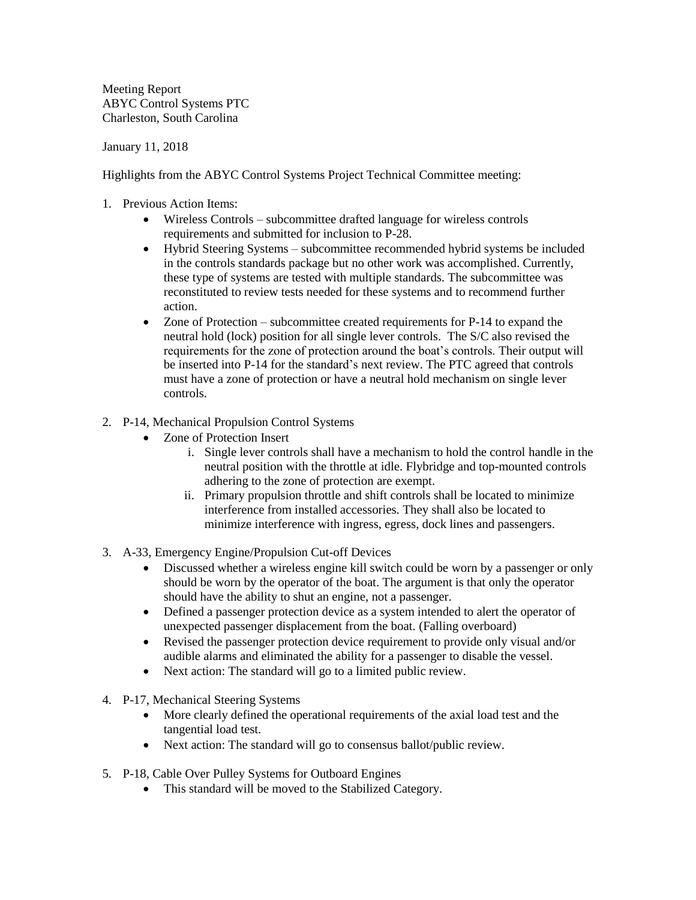Meeting Report ABYC Control Systems PTC Charleston, South Carolina

January 11, 2018

Highlights from the ABYC Control Systems Project Technical Committee meeting:

- 1. Previous Action Items:
	- Wireless Controls subcommittee drafted language for wireless controls requirements and submitted for inclusion to P-28.
	- Hybrid Steering Systems subcommittee recommended hybrid systems be included in the controls standards package but no other work was accomplished. Currently, these type of systems are tested with multiple standards. The subcommittee was reconstituted to review tests needed for these systems and to recommend further action.
	- Zone of Protection subcommittee created requirements for P-14 to expand the neutral hold (lock) position for all single lever controls. The S/C also revised the requirements for the zone of protection around the boat's controls. Their output will be inserted into P-14 for the standard's next review. The PTC agreed that controls must have a zone of protection or have a neutral hold mechanism on single lever controls.

## 2. P-14, Mechanical Propulsion Control Systems

- Zone of Protection Insert
	- i. Single lever controls shall have a mechanism to hold the control handle in the neutral position with the throttle at idle. Flybridge and top-mounted controls adhering to the zone of protection are exempt.
	- ii. Primary propulsion throttle and shift controls shall be located to minimize interference from installed accessories. They shall also be located to minimize interference with ingress, egress, dock lines and passengers.
- 3. A-33, Emergency Engine/Propulsion Cut-off Devices
	- Discussed whether a wireless engine kill switch could be worn by a passenger or only should be worn by the operator of the boat. The argument is that only the operator should have the ability to shut an engine, not a passenger.
	- Defined a passenger protection device as a system intended to alert the operator of unexpected passenger displacement from the boat. (Falling overboard)
	- Revised the passenger protection device requirement to provide only visual and/or audible alarms and eliminated the ability for a passenger to disable the vessel.
	- Next action: The standard will go to a limited public review.
- 4. P-17, Mechanical Steering Systems
	- More clearly defined the operational requirements of the axial load test and the tangential load test.
	- Next action: The standard will go to consensus ballot/public review.
- 5. P-18, Cable Over Pulley Systems for Outboard Engines
	- This standard will be moved to the Stabilized Category.